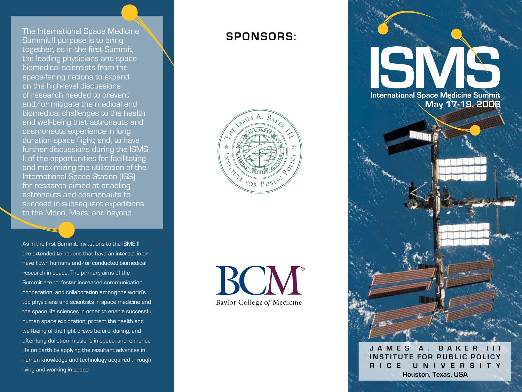The International Space Medicine Summit II purpose is to bring together, as in the first Summit, the leading physicians and space biomedical scientists from the space-faring nations to expand on the high-level discussions of research needed to prevent and/or mitigate the medical and biomedical challenges to the health and well-being that astronauts and cosmonauts experience in long duration space flight; and, to have further discussions during the ISMS II of the opportunities for facilitating and maximizing the utilization of the International Space Station (ISS) for research aimed at enabling astronauts and cosmonauts to succeed in subsequent expeditions to the Moon, Mars, and beyond.

As in the first Summit, invitations to the ISMS II are extended to nations that have an interest in or have flown humans and/or conducted biomedical research in space. The primary aims of the Summit are to: foster increased communication, cooperation, and collaboration among the world's top physicians and scientists in space medicine and the space life sciences in order to enable successful human space exploration; protect the health and well-being of the flight crews before, during, and after long duration missions in space; and, enhance life on Earth by applying the resultant advances in human knowledge and technology acquired through living and working in space.

# **Spon sor s :**



BOM® Baylor College of Medicine